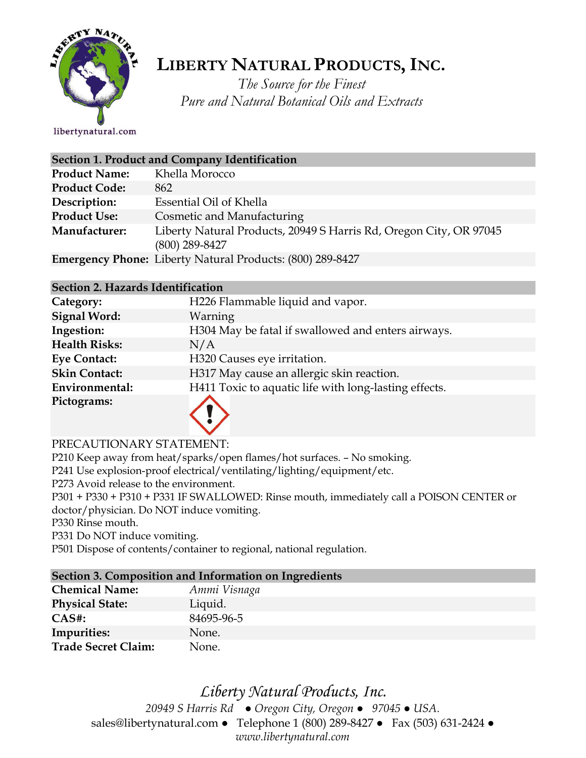

## **LIBERTY NATURAL PRODUCTS,INC.**

*The Source for the Finest Pure and Natural Botanical Oils and Extracts*

libertynatural.com

| Section 1. Product and Company Identification |                                                                                        |  |
|-----------------------------------------------|----------------------------------------------------------------------------------------|--|
| <b>Product Name:</b>                          | Khella Morocco                                                                         |  |
| <b>Product Code:</b>                          | 862                                                                                    |  |
| Description:                                  | Essential Oil of Khella                                                                |  |
| <b>Product Use:</b>                           | Cosmetic and Manufacturing                                                             |  |
| Manufacturer:                                 | Liberty Natural Products, 20949 S Harris Rd, Oregon City, OR 97045<br>$(800)$ 289-8427 |  |
|                                               | <b>Emergency Phone:</b> Liberty Natural Products: (800) 289-8427                       |  |

#### **Section 2. Hazards Identification**

| Category:            | H226 Flammable liquid and vapor.                      |
|----------------------|-------------------------------------------------------|
| <b>Signal Word:</b>  | Warning                                               |
| Ingestion:           | H304 May be fatal if swallowed and enters airways.    |
| <b>Health Risks:</b> | N/A                                                   |
| <b>Eye Contact:</b>  | H320 Causes eye irritation.                           |
| <b>Skin Contact:</b> | H317 May cause an allergic skin reaction.             |
| Environmental:       | H411 Toxic to aquatic life with long-lasting effects. |
| Pictograms:          |                                                       |

#### PRECAUTIONARY STATEMENT:

P210 Keep away from heat/sparks/open flames/hot surfaces. – No smoking.

P241 Use explosion-proof electrical/ventilating/lighting/equipment/etc.

P273 Avoid release to the environment.

P301 + P330 + P310 + P331 IF SWALLOWED: Rinse mouth, immediately call a POISON CENTER or doctor/physician. Do NOT induce vomiting.

P330 Rinse mouth.

P331 Do NOT induce vomiting.

P501 Dispose of contents/container to regional, national regulation.

#### **Section 3. Composition and Information on Ingredients**

| <b>Chemical Name:</b>      | Ammi Visnaga |
|----------------------------|--------------|
| <b>Physical State:</b>     | Liquid.      |
| $CAS#$ :                   | 84695-96-5   |
| Impurities:                | None.        |
| <b>Trade Secret Claim:</b> | None.        |

## *Liberty Natural Products, Inc.*

*20949 S Harris Rd ● Oregon City, Oregon ● 97045 ● USA.*  sales@libertynatural.com *●* Telephone 1 (800) 289-8427 ● Fax (503) 631-2424 *● www.libertynatural.com*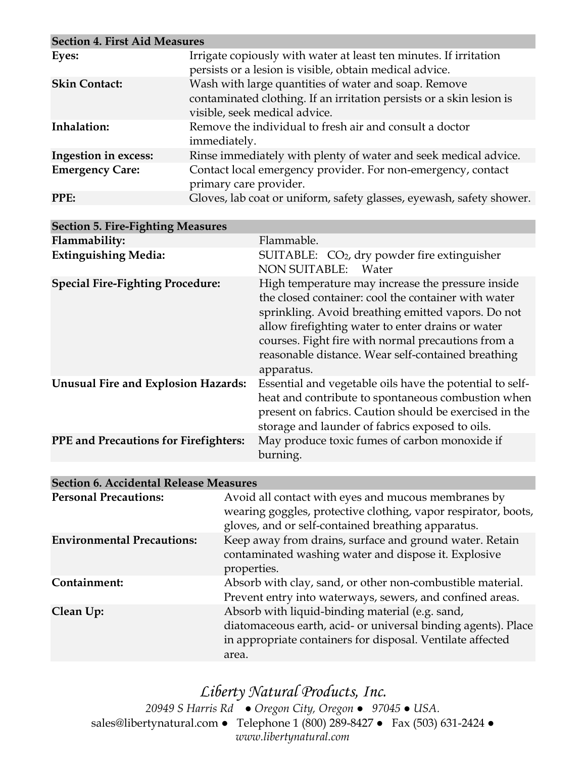| <b>Section 4. First Aid Measures</b> |                                                                                                                                                               |
|--------------------------------------|---------------------------------------------------------------------------------------------------------------------------------------------------------------|
| Eyes:                                | Irrigate copiously with water at least ten minutes. If irritation<br>persists or a lesion is visible, obtain medical advice.                                  |
| <b>Skin Contact:</b>                 | Wash with large quantities of water and soap. Remove<br>contaminated clothing. If an irritation persists or a skin lesion is<br>visible, seek medical advice. |
| Inhalation:                          | Remove the individual to fresh air and consult a doctor<br>immediately.                                                                                       |
| Ingestion in excess:                 | Rinse immediately with plenty of water and seek medical advice.                                                                                               |
| <b>Emergency Care:</b>               | Contact local emergency provider. For non-emergency, contact<br>primary care provider.                                                                        |
| PPE:                                 | Gloves, lab coat or uniform, safety glasses, eyewash, safety shower.                                                                                          |

| <b>Section 5. Fire-Fighting Measures</b>     |                                                                                                                                                                                                                                                                                                                                               |
|----------------------------------------------|-----------------------------------------------------------------------------------------------------------------------------------------------------------------------------------------------------------------------------------------------------------------------------------------------------------------------------------------------|
| Flammability:                                | Flammable.                                                                                                                                                                                                                                                                                                                                    |
| <b>Extinguishing Media:</b>                  | SUITABLE: $CO2$ , dry powder fire extinguisher<br>NON SUITABLE: Water                                                                                                                                                                                                                                                                         |
| <b>Special Fire-Fighting Procedure:</b>      | High temperature may increase the pressure inside<br>the closed container: cool the container with water<br>sprinkling. Avoid breathing emitted vapors. Do not<br>allow firefighting water to enter drains or water<br>courses. Fight fire with normal precautions from a<br>reasonable distance. Wear self-contained breathing<br>apparatus. |
| <b>Unusual Fire and Explosion Hazards:</b>   | Essential and vegetable oils have the potential to self-<br>heat and contribute to spontaneous combustion when<br>present on fabrics. Caution should be exercised in the<br>storage and launder of fabrics exposed to oils.                                                                                                                   |
| <b>PPE</b> and Precautions for Firefighters: | May produce toxic fumes of carbon monoxide if<br>burning.                                                                                                                                                                                                                                                                                     |
|                                              |                                                                                                                                                                                                                                                                                                                                               |

#### **Section 6. Accidental Release Measures**

| <b>Personal Precautions:</b>      | Avoid all contact with eyes and mucous membranes by<br>wearing goggles, protective clothing, vapor respirator, boots,<br>gloves, and or self-contained breathing apparatus.             |
|-----------------------------------|-----------------------------------------------------------------------------------------------------------------------------------------------------------------------------------------|
| <b>Environmental Precautions:</b> | Keep away from drains, surface and ground water. Retain<br>contaminated washing water and dispose it. Explosive<br>properties.                                                          |
| Containment:                      | Absorb with clay, sand, or other non-combustible material.<br>Prevent entry into waterways, sewers, and confined areas.                                                                 |
| Clean Up:                         | Absorb with liquid-binding material (e.g. sand,<br>diatomaceous earth, acid- or universal binding agents). Place<br>in appropriate containers for disposal. Ventilate affected<br>area. |

*Liberty Natural Products, Inc. 20949 S Harris Rd ● Oregon City, Oregon ● 97045 ● USA.*  sales@libertynatural.com *●* Telephone 1 (800) 289-8427 ● Fax (503) 631-2424 *● www.libertynatural.com*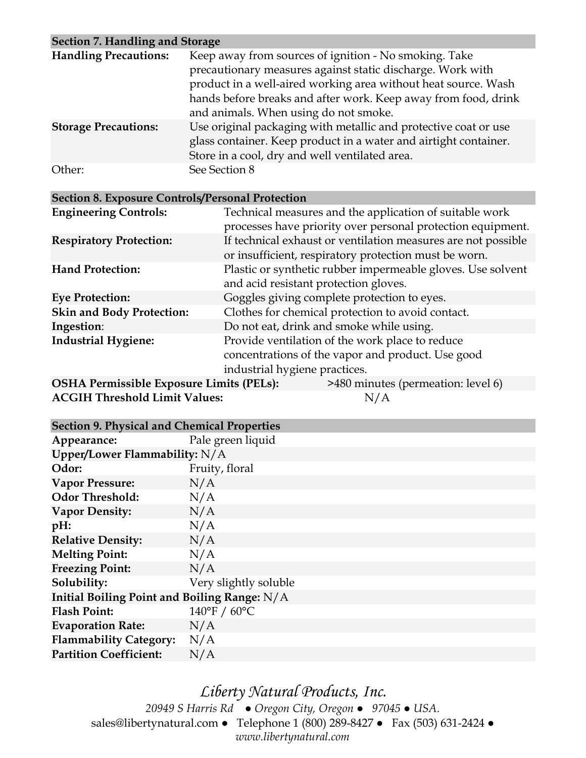| Section 7. Handling and Storage |                                                                                                                                                                                                                                                                                                  |
|---------------------------------|--------------------------------------------------------------------------------------------------------------------------------------------------------------------------------------------------------------------------------------------------------------------------------------------------|
| <b>Handling Precautions:</b>    | Keep away from sources of ignition - No smoking. Take<br>precautionary measures against static discharge. Work with<br>product in a well-aired working area without heat source. Wash<br>hands before breaks and after work. Keep away from food, drink<br>and animals. When using do not smoke. |
| <b>Storage Precautions:</b>     | Use original packaging with metallic and protective coat or use<br>glass container. Keep product in a water and airtight container.<br>Store in a cool, dry and well ventilated area.                                                                                                            |
| Other:                          | See Section 8                                                                                                                                                                                                                                                                                    |

| <b>Section 8. Exposure Controls/Personal Protection</b> |                                                                                                                                       |  |
|---------------------------------------------------------|---------------------------------------------------------------------------------------------------------------------------------------|--|
| <b>Engineering Controls:</b>                            | Technical measures and the application of suitable work<br>processes have priority over personal protection equipment.                |  |
| <b>Respiratory Protection:</b>                          | If technical exhaust or ventilation measures are not possible<br>or insufficient, respiratory protection must be worn.                |  |
| <b>Hand Protection:</b>                                 | Plastic or synthetic rubber impermeable gloves. Use solvent<br>and acid resistant protection gloves.                                  |  |
| <b>Eye Protection:</b>                                  | Goggles giving complete protection to eyes.                                                                                           |  |
| <b>Skin and Body Protection:</b>                        | Clothes for chemical protection to avoid contact.                                                                                     |  |
| Ingestion:                                              | Do not eat, drink and smoke while using.                                                                                              |  |
| <b>Industrial Hygiene:</b>                              | Provide ventilation of the work place to reduce<br>concentrations of the vapor and product. Use good<br>industrial hygiene practices. |  |
|                                                         | $OCIIA$ Dependently $E_{\text{max}}$ over $I_{\text{max}}$ (DEI a), $\frac{1}{2}$ (400 minutes (proposed in $1-\frac{1}{2}$ ()        |  |

| <b>OSHA Permissible Exposure Limits (PELs):</b> | >480 minutes (permeation: level 6) |
|-------------------------------------------------|------------------------------------|
| <b>ACGIH Threshold Limit Values:</b>            | N/A                                |

|  |  |  |  |  | <b>Section 9. Physical and Chemical Properties</b> |
|--|--|--|--|--|----------------------------------------------------|
|--|--|--|--|--|----------------------------------------------------|

| Section 9. I hysical and Chemical I topernes   |                       |  |  |
|------------------------------------------------|-----------------------|--|--|
| Appearance:                                    | Pale green liquid     |  |  |
| Upper/Lower Flammability: N/A                  |                       |  |  |
| Odor:                                          | Fruity, floral        |  |  |
| <b>Vapor Pressure:</b>                         | N/A                   |  |  |
| <b>Odor Threshold:</b>                         | N/A                   |  |  |
| <b>Vapor Density:</b>                          | N/A                   |  |  |
| $pH$ :                                         | N/A                   |  |  |
| <b>Relative Density:</b>                       | N/A                   |  |  |
| <b>Melting Point:</b>                          | N/A                   |  |  |
| <b>Freezing Point:</b>                         | N/A                   |  |  |
| Solubility:                                    | Very slightly soluble |  |  |
| Initial Boiling Point and Boiling Range: $N/A$ |                       |  |  |
| <b>Flash Point:</b>                            | 140°F / 60°C          |  |  |
| <b>Evaporation Rate:</b>                       | N/A                   |  |  |
| <b>Flammability Category:</b>                  | N/A                   |  |  |
| <b>Partition Coefficient:</b>                  | N/A                   |  |  |

*Liberty Natural Products, Inc. 20949 S Harris Rd ● Oregon City, Oregon ● 97045 ● USA.*  sales@libertynatural.com *●* Telephone 1 (800) 289-8427 ● Fax (503) 631-2424 *● www.libertynatural.com*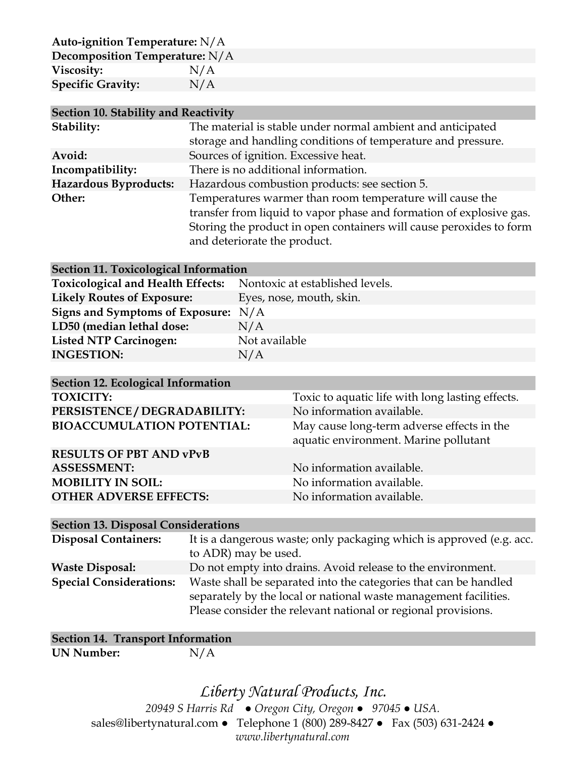**Auto-ignition Temperature:** N/A

| Decomposition Temperature: N/A |     |
|--------------------------------|-----|
| Viscosity:                     | N/A |
| <b>Specific Gravity:</b>       | N/A |

| Section 10. Stability and Reactivity |                                                                                                                                                                                                                                        |  |  |
|--------------------------------------|----------------------------------------------------------------------------------------------------------------------------------------------------------------------------------------------------------------------------------------|--|--|
| Stability:                           | The material is stable under normal ambient and anticipated                                                                                                                                                                            |  |  |
|                                      | storage and handling conditions of temperature and pressure.                                                                                                                                                                           |  |  |
| Avoid:                               | Sources of ignition. Excessive heat.                                                                                                                                                                                                   |  |  |
| Incompatibility:                     | There is no additional information.                                                                                                                                                                                                    |  |  |
| Hazardous Byproducts:                | Hazardous combustion products: see section 5.                                                                                                                                                                                          |  |  |
| Other:                               | Temperatures warmer than room temperature will cause the<br>transfer from liquid to vapor phase and formation of explosive gas.<br>Storing the product in open containers will cause peroxides to form<br>and deteriorate the product. |  |  |

#### **Section 11. Toxicological Information**

| Toxicological and Health Effects: Nontoxic at established levels. |
|-------------------------------------------------------------------|
| Eyes, nose, mouth, skin.                                          |
| Signs and Symptoms of Exposure:<br>N/A                            |
| N/A                                                               |
| Not available                                                     |
| N/A                                                               |
|                                                                   |

| Section 12. Ecological Information |                                                                                     |
|------------------------------------|-------------------------------------------------------------------------------------|
| <b>TOXICITY:</b>                   | Toxic to aquatic life with long lasting effects.                                    |
| PERSISTENCE / DEGRADABILITY:       | No information available.                                                           |
| <b>BIOACCUMULATION POTENTIAL:</b>  | May cause long-term adverse effects in the<br>aquatic environment. Marine pollutant |
| <b>RESULTS OF PBT AND vPvB</b>     |                                                                                     |
| <b>ASSESSMENT:</b>                 | No information available.                                                           |
| <b>MOBILITY IN SOIL:</b>           | No information available.                                                           |
| <b>OTHER ADVERSE EFFECTS:</b>      | No information available.                                                           |

#### **Section 13. Disposal Considerations**

| <b>Disposal Containers:</b>    | It is a dangerous waste; only packaging which is approved (e.g. acc.<br>to ADR) may be used.                                                                                                          |
|--------------------------------|-------------------------------------------------------------------------------------------------------------------------------------------------------------------------------------------------------|
| <b>Waste Disposal:</b>         | Do not empty into drains. Avoid release to the environment.                                                                                                                                           |
| <b>Special Considerations:</b> | Waste shall be separated into the categories that can be handled<br>separately by the local or national waste management facilities.<br>Please consider the relevant national or regional provisions. |

### **Section 14. Transport Information**

**UN Number:** N/A

# *Liberty Natural Products, Inc.*

*20949 S Harris Rd ● Oregon City, Oregon ● 97045 ● USA.*  sales@libertynatural.com *●* Telephone 1 (800) 289-8427 ● Fax (503) 631-2424 *● www.libertynatural.com*